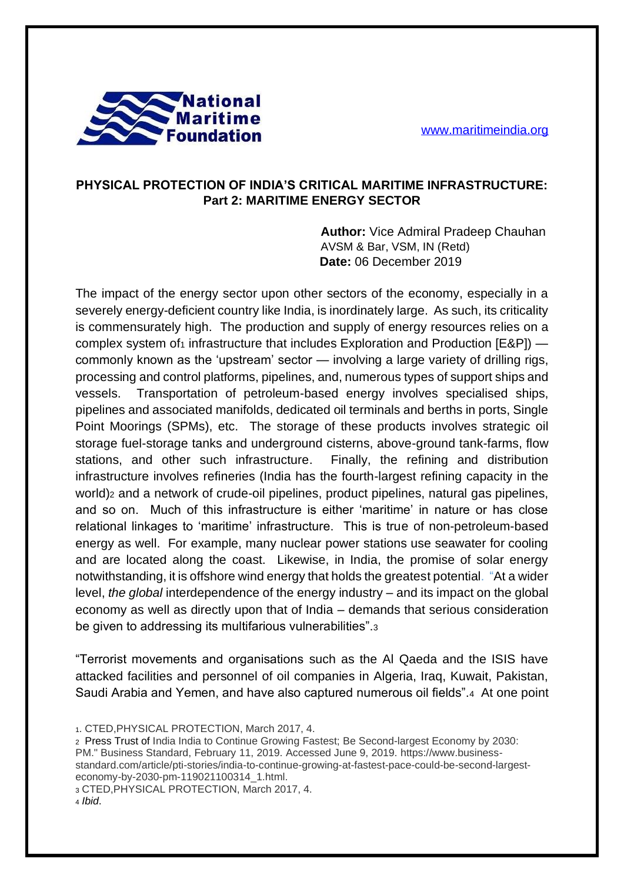

## **PHYSICAL PROTECTION OF INDIA'S CRITICAL MARITIME INFRASTRUCTURE: Part 2: MARITIME ENERGY SECTOR**

**Author:** Vice Admiral Pradeep Chauhan AVSM & Bar, VSM, IN (Retd) **Date:** 06 December 2019

The impact of the energy sector upon other sectors of the economy, especially in a severely energy-deficient country like India, is inordinately large. As such, its criticality is commensurately high. The production and supply of energy resources relies on a complex system of  $_1$  infrastructure that includes Exploration and Production [E&P])  $$ commonly known as the 'upstream' sector — involving a large variety of drilling rigs, processing and control platforms, pipelines, and, numerous types of support ships and vessels. Transportation of petroleum-based energy involves specialised ships, pipelines and associated manifolds, dedicated oil terminals and berths in ports, Single Point Moorings (SPMs), etc. The storage of these products involves strategic oil storage fuel-storage tanks and underground cisterns, above-ground tank-farms, flow stations, and other such infrastructure. Finally, the refining and distribution infrastructure involves refineries (India has the fourth-largest refining capacity in the world)<sub>2</sub> and a network of crude-oil pipelines, product pipelines, natural gas pipelines, and so on. Much of this infrastructure is either 'maritime' in nature or has close relational linkages to 'maritime' infrastructure. This is true of non-petroleum-based energy as well. For example, many nuclear power stations use seawater for cooling and are located along the coast. Likewise, in India, the promise of solar energy notwithstanding, it is offshore wind energy that holds the greatest potential. "At a wider level, *the global* interdependence of the energy industry – and its impact on the global economy as well as directly upon that of India – demands that serious consideration be given to addressing its multifarious vulnerabilities".<sup>3</sup>

"Terrorist movements and organisations such as the Al Qaeda and the ISIS have attacked facilities and personnel of oil companies in Algeria, Iraq, Kuwait, Pakistan, Saudi Arabia and Yemen, and have also captured numerous oil fields".4 At one point

<sup>2</sup> Press Trust of India India to Continue Growing Fastest; Be Second-largest Economy by 2030: PM." Business Standard, February 11, 2019. Accessed June 9, 2019. https://www.businessstandard.com/article/pti-stories/india-to-continue-growing-at-fastest-pace-could-be-second-largesteconomy-by-2030-pm-119021100314\_1.html.

<sup>3</sup> CTED,PHYSICAL PROTECTION, March 2017, 4.

<sup>1</sup>. CTED,PHYSICAL PROTECTION, March 2017, 4.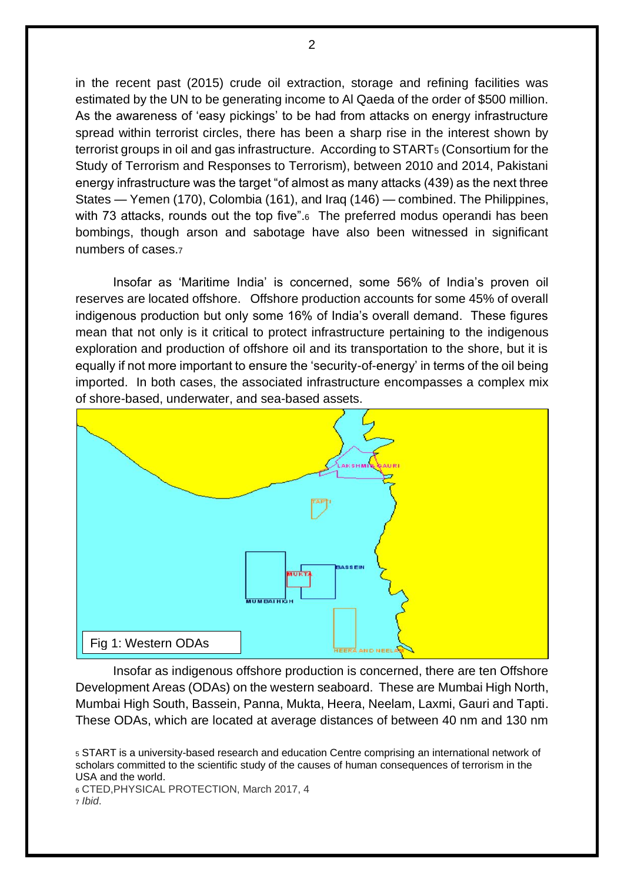in the recent past (2015) crude oil extraction, storage and refining facilities was estimated by the UN to be generating income to Al Qaeda of the order of \$500 million. As the awareness of 'easy pickings' to be had from attacks on energy infrastructure spread within terrorist circles, there has been a sharp rise in the interest shown by terrorist groups in oil and gas infrastructure. According to START<sup>5</sup> (Consortium for the Study of Terrorism and Responses to Terrorism), between 2010 and 2014, Pakistani energy infrastructure was the target "of almost as many attacks (439) as the next three States — Yemen (170), Colombia (161), and Iraq (146) — combined. The Philippines, with 73 attacks, rounds out the top five".<sup>6</sup> The preferred modus operandi has been bombings, though arson and sabotage have also been witnessed in significant numbers of cases.<sup>7</sup>

Insofar as 'Maritime India' is concerned, some 56% of India's proven oil reserves are located offshore. Offshore production accounts for some 45% of overall indigenous production but only some 16% of India's overall demand. These figures mean that not only is it critical to protect infrastructure pertaining to the indigenous exploration and production of offshore oil and its transportation to the shore, but it is equally if not more important to ensure the 'security-of-energy' in terms of the oil being imported. In both cases, the associated infrastructure encompasses a complex mix of shore-based, underwater, and sea-based assets.



Insofar as indigenous offshore production is concerned, there are ten Offshore Development Areas (ODAs) on the western seaboard. These are Mumbai High North, Mumbai High South, Bassein, Panna, Mukta, Heera, Neelam, Laxmi, Gauri and Tapti. These ODAs, which are located at average distances of between 40 nm and 130 nm

<sup>5</sup> START is a university-based research and education Centre comprising an international network of scholars committed to the scientific study of the causes of human consequences of terrorism in the USA and the world.

<sup>6</sup> CTED,PHYSICAL PROTECTION, March 2017, 4

<sup>7</sup> *Ibid*.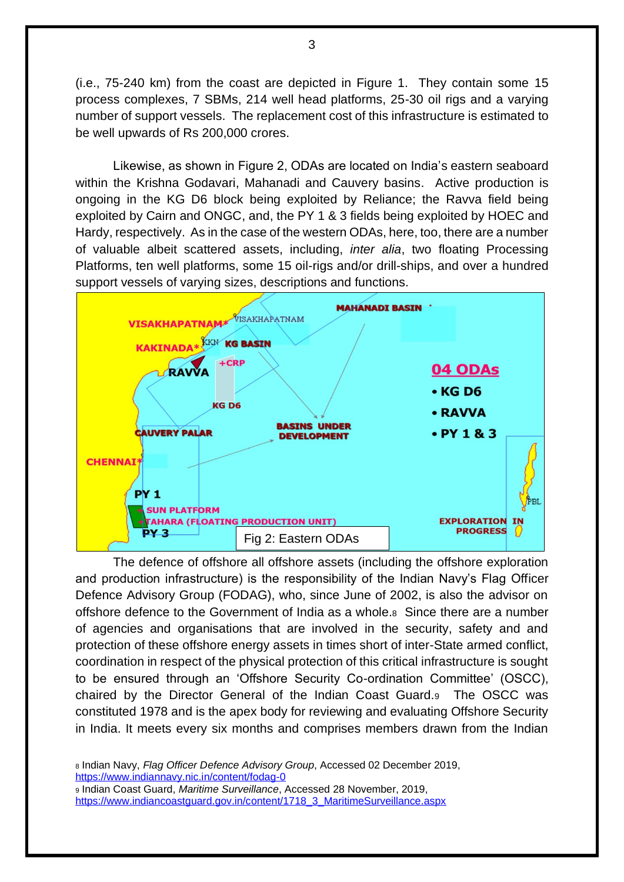(i.e., 75-240 km) from the coast are depicted in Figure 1. They contain some 15 process complexes, 7 SBMs, 214 well head platforms, 25-30 oil rigs and a varying number of support vessels. The replacement cost of this infrastructure is estimated to be well upwards of Rs 200,000 crores.

Likewise, as shown in Figure 2, ODAs are located on India's eastern seaboard within the Krishna Godavari, Mahanadi and Cauvery basins. Active production is ongoing in the KG D6 block being exploited by Reliance; the Ravva field being exploited by Cairn and ONGC, and, the PY 1 & 3 fields being exploited by HOEC and Hardy, respectively. As in the case of the western ODAs, here, too, there are a number of valuable albeit scattered assets, including, *inter alia*, two floating Processing Platforms, ten well platforms, some 15 oil-rigs and/or drill-ships, and over a hundred support vessels of varying sizes, descriptions and functions.



The defence of offshore all offshore assets (including the offshore exploration and production infrastructure) is the responsibility of the Indian Navy's Flag Officer Defence Advisory Group (FODAG), who, since June of 2002, is also the advisor on offshore defence to the Government of India as a whole.8 Since there are a number of agencies and organisations that are involved in the security, safety and and protection of these offshore energy assets in times short of inter-State armed conflict, coordination in respect of the physical protection of this critical infrastructure is sought to be ensured through an 'Offshore Security Co-ordination Committee' (OSCC), chaired by the Director General of the Indian Coast Guard.9 The OSCC was constituted 1978 and is the apex body for reviewing and evaluating Offshore Security in India. It meets every six months and comprises members drawn from the Indian

<sup>8</sup> Indian Navy, *Flag Officer Defence Advisory Group*, Accessed 02 December 2019, <https://www.indiannavy.nic.in/content/fodag-0> <sup>9</sup> Indian Coast Guard, *Maritime Surveillance*, Accessed 28 November, 2019, [https://www.indiancoastguard.gov.in/content/1718\\_3\\_MaritimeSurveillance.aspx](https://www.indiancoastguard.gov.in/content/1718_3_MaritimeSurveillance.aspx)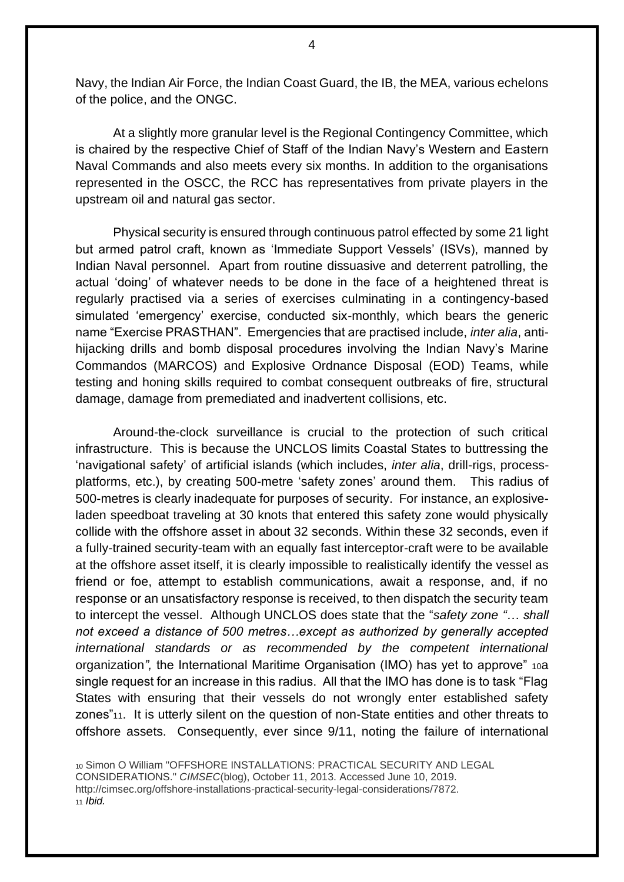Navy, the Indian Air Force, the Indian Coast Guard, the IB, the MEA, various echelons of the police, and the ONGC.

At a slightly more granular level is the Regional Contingency Committee, which is chaired by the respective Chief of Staff of the Indian Navy's Western and Eastern Naval Commands and also meets every six months. In addition to the organisations represented in the OSCC, the RCC has representatives from private players in the upstream oil and natural gas sector.

Physical security is ensured through continuous patrol effected by some 21 light but armed patrol craft, known as 'Immediate Support Vessels' (ISVs), manned by Indian Naval personnel. Apart from routine dissuasive and deterrent patrolling, the actual 'doing' of whatever needs to be done in the face of a heightened threat is regularly practised via a series of exercises culminating in a contingency-based simulated 'emergency' exercise, conducted six-monthly, which bears the generic name "Exercise PRASTHAN". Emergencies that are practised include, *inter alia*, antihijacking drills and bomb disposal procedures involving the Indian Navy's Marine Commandos (MARCOS) and Explosive Ordnance Disposal (EOD) Teams, while testing and honing skills required to combat consequent outbreaks of fire, structural damage, damage from premediated and inadvertent collisions, etc.

Around-the-clock surveillance is crucial to the protection of such critical infrastructure. This is because the UNCLOS limits Coastal States to buttressing the 'navigational safety' of artificial islands (which includes, *inter alia*, drill-rigs, processplatforms, etc.), by creating 500-metre 'safety zones' around them. This radius of 500-metres is clearly inadequate for purposes of security. For instance, an explosiveladen speedboat traveling at 30 knots that entered this safety zone would physically collide with the offshore asset in about 32 seconds. Within these 32 seconds, even if a fully-trained security-team with an equally fast interceptor-craft were to be available at the offshore asset itself, it is clearly impossible to realistically identify the vessel as friend or foe, attempt to establish communications, await a response, and, if no response or an unsatisfactory response is received, to then dispatch the security team to intercept the vessel. Although UNCLOS does state that the "*safety zone "… shall not exceed a distance of 500 metres…except as authorized by generally accepted international standards or as recommended by the competent international*  organization*",* the International Maritime Organisation (IMO) has yet to approve" 10a single request for an increase in this radius. All that the IMO has done is to task "Flag States with ensuring that their vessels do not wrongly enter established safety zones"11. It is utterly silent on the question of non-State entities and other threats to offshore assets. Consequently, ever since 9/11, noting the failure of international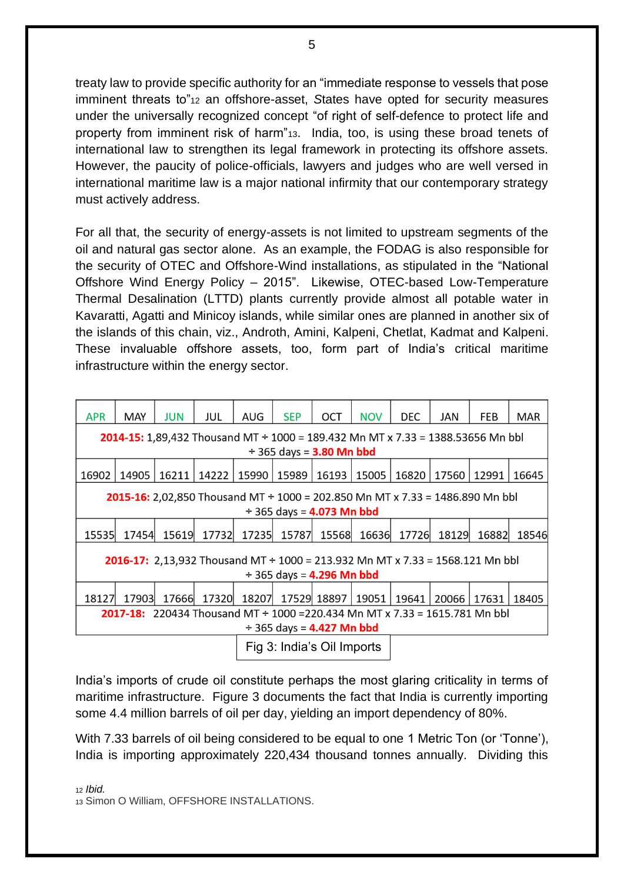treaty law to provide specific authority for an "immediate response to vessels that pose imminent threats to"<sup>12</sup> an offshore-asset, *S*tates have opted for security measures under the universally recognized concept "of right of self-defence to protect life and property from imminent risk of harm"13. India, too, is using these broad tenets of international law to strengthen its legal framework in protecting its offshore assets. However, the paucity of police-officials, lawyers and judges who are well versed in international maritime law is a major national infirmity that our contemporary strategy must actively address.

For all that, the security of energy-assets is not limited to upstream segments of the oil and natural gas sector alone. As an example, the FODAG is also responsible for the security of OTEC and Offshore-Wind installations, as stipulated in the "National Offshore Wind Energy Policy – 2015". Likewise, OTEC-based Low-Temperature Thermal Desalination (LTTD) plants currently provide almost all potable water in Kavaratti, Agatti and Minicoy islands, while similar ones are planned in another six of the islands of this chain, viz., Androth, Amini, Kalpeni, Chetlat, Kadmat and Kalpeni. These invaluable offshore assets, too, form part of India's critical maritime infrastructure within the energy sector.

| <b>APR</b>                                                                           | MAY   | <b>JUN</b> | JUL                   | AUG                        | <b>SEP</b> | OCT                 | <b>NOV</b>    | <b>DEC</b> | JAN           | FEB   | <b>MAR</b> |
|--------------------------------------------------------------------------------------|-------|------------|-----------------------|----------------------------|------------|---------------------|---------------|------------|---------------|-------|------------|
| 2014-15: 1,89,432 Thousand MT + 1000 = 189.432 Mn MT x 7.33 = 1388.53656 Mn bbl      |       |            |                       |                            |            |                     |               |            |               |       |            |
| $\div$ 365 days = <b>3.80 Mn bbd</b>                                                 |       |            |                       |                            |            |                     |               |            |               |       |            |
| 16902                                                                                | 14905 |            | 16211   14222   15990 |                            | 15989      |                     | 16193   15005 |            | 16820   17560 | 12991 | 16645      |
| <b>2015-16:</b> 2,02,850 Thousand MT + 1000 = 202.850 Mn MT x 7.33 = 1486.890 Mn bbl |       |            |                       |                            |            |                     |               |            |               |       |            |
| $\div$ 365 days = <b>4.073 Mn bbd</b>                                                |       |            |                       |                            |            |                     |               |            |               |       |            |
| 15535                                                                                | 17454 | 15619      | 17732                 | 17235                      | 15787      | 15568               | 16636         | 17726      | 18129         | 16882 | 18546      |
| <b>2016-17:</b> 2,13,932 Thousand MT + 1000 = 213.932 Mn MT x 7.33 = 1568.121 Mn bbl |       |            |                       |                            |            |                     |               |            |               |       |            |
| $\div$ 365 days = <b>4.296 Mn bbd</b>                                                |       |            |                       |                            |            |                     |               |            |               |       |            |
| 18127                                                                                | 17903 | 17666      | 17320                 | 18207                      |            | 17529 18897   19051 |               | 19641      | 20066         | 17631 | 18405      |
| <b>2017-18:</b> 220434 Thousand MT + 1000 = 220.434 Mn MT x 7.33 = 1615.781 Mn bbl   |       |            |                       |                            |            |                     |               |            |               |       |            |
| $\div$ 365 days = 4.427 Mn bbd                                                       |       |            |                       |                            |            |                     |               |            |               |       |            |
|                                                                                      |       |            |                       | Fig 3: India's Oil Imports |            |                     |               |            |               |       |            |

India's imports of crude oil constitute perhaps the most glaring criticality in terms of maritime infrastructure. Figure 3 documents the fact that India is currently importing some 4.4 million barrels of oil per day, yielding an import dependency of 80%.

With 7.33 barrels of oil being considered to be equal to one 1 Metric Ton (or 'Tonne'), India is importing approximately 220,434 thousand tonnes annually. Dividing this

<sup>12</sup> *Ibid.*

<sup>13</sup> Simon O William, OFFSHORE INSTALLATIONS.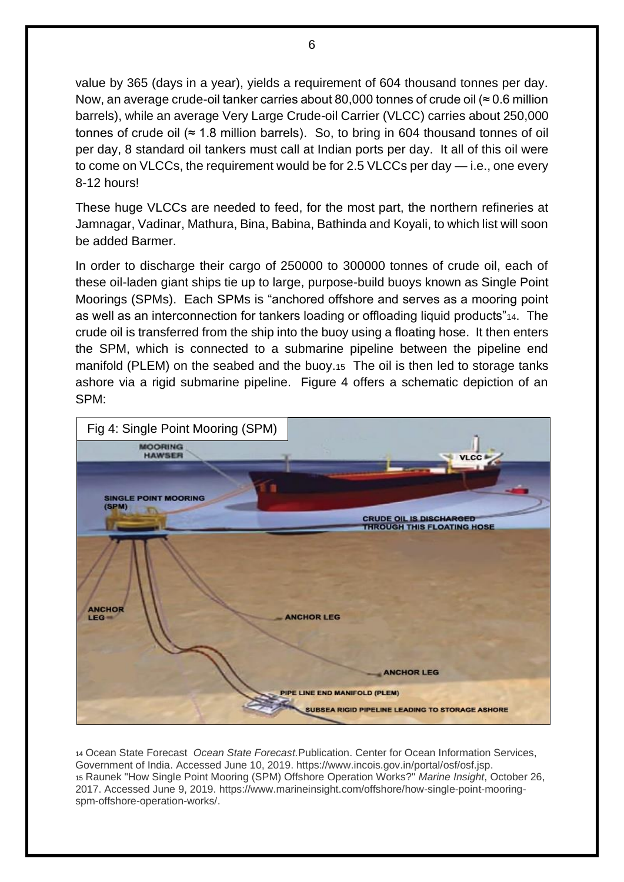value by 365 (days in a year), yields a requirement of 604 thousand tonnes per day. Now, an average crude-oil tanker carries about 80,000 tonnes of crude oil ( $\approx$  0.6 million barrels), while an average Very Large Crude-oil Carrier (VLCC) carries about 250,000 tonnes of crude oil ( $\approx$  1.8 million barrels). So, to bring in 604 thousand tonnes of oil per day, 8 standard oil tankers must call at Indian ports per day. It all of this oil were to come on VLCCs, the requirement would be for 2.5 VLCCs per day — i.e., one every 8-12 hours!

These huge VLCCs are needed to feed, for the most part, the northern refineries at Jamnagar, Vadinar, Mathura, Bina, Babina, Bathinda and Koyali, to which list will soon be added Barmer.

In order to discharge their cargo of 250000 to 300000 tonnes of crude oil, each of these oil-laden giant ships tie up to large, purpose-build buoys known as Single Point Moorings (SPMs). Each SPMs is "anchored offshore and serves as a mooring point as well as an interconnection for tankers loading or offloading liquid products"14. The crude oil is transferred from the ship into the buoy using a floating hose. It then enters the SPM, which is connected to a submarine pipeline between the pipeline end manifold (PLEM) on the seabed and the buoy.15 The oil is then led to storage tanks ashore via a rigid submarine pipeline. Figure 4 offers a schematic depiction of an SPM:



<sup>14</sup> Ocean State Forecast *Ocean State Forecast.*Publication. Center for Ocean Information Services, Government of India. Accessed June 10, 2019. https://www.incois.gov.in/portal/osf/osf.jsp. <sup>15</sup> Raunek "How Single Point Mooring (SPM) Offshore Operation Works?" *Marine Insight*, October 26, 2017. Accessed June 9, 2019. https://www.marineinsight.com/offshore/how-single-point-mooringspm-offshore-operation-works/.

6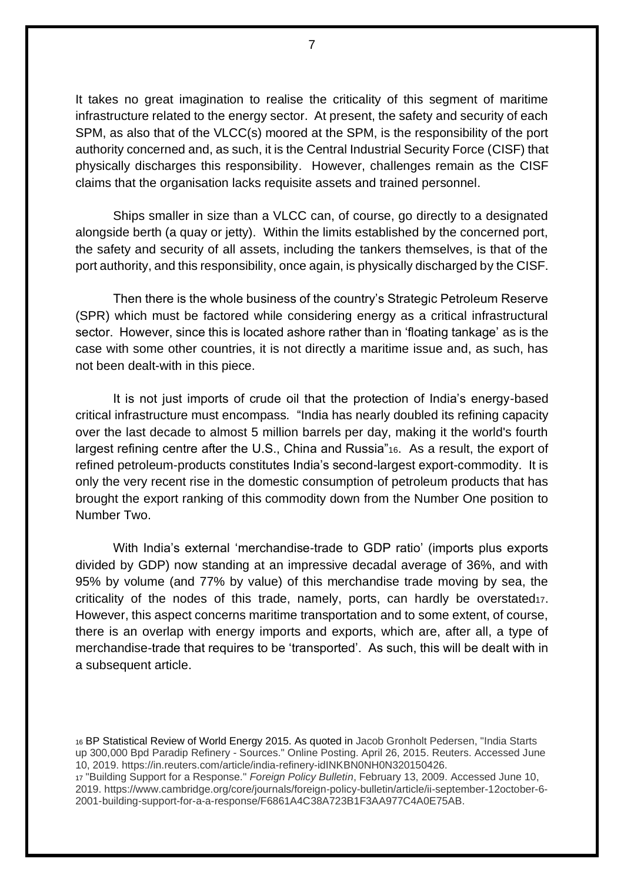It takes no great imagination to realise the criticality of this segment of maritime infrastructure related to the energy sector. At present, the safety and security of each SPM, as also that of the VLCC(s) moored at the SPM, is the responsibility of the port authority concerned and, as such, it is the Central Industrial Security Force (CISF) that physically discharges this responsibility. However, challenges remain as the CISF claims that the organisation lacks requisite assets and trained personnel.

Ships smaller in size than a VLCC can, of course, go directly to a designated alongside berth (a quay or jetty). Within the limits established by the concerned port, the safety and security of all assets, including the tankers themselves, is that of the port authority, and this responsibility, once again, is physically discharged by the CISF.

Then there is the whole business of the country's Strategic Petroleum Reserve (SPR) which must be factored while considering energy as a critical infrastructural sector. However, since this is located ashore rather than in 'floating tankage' as is the case with some other countries, it is not directly a maritime issue and, as such, has not been dealt-with in this piece.

It is not just imports of crude oil that the protection of India's energy-based critical infrastructure must encompass*.* "India has nearly doubled its refining capacity over the last decade to almost 5 million barrels per day, making it the world's fourth largest refining centre after the U.S., China and Russia"16. As a result, the export of refined petroleum-products constitutes India's second-largest export-commodity. It is only the very recent rise in the domestic consumption of petroleum products that has brought the export ranking of this commodity down from the Number One position to Number Two.

With India's external 'merchandise-trade to GDP ratio' (imports plus exports divided by GDP) now standing at an impressive decadal average of 36%, and with 95% by volume (and 77% by value) of this merchandise trade moving by sea, the criticality of the nodes of this trade, namely, ports, can hardly be overstated $17$ . However, this aspect concerns maritime transportation and to some extent, of course, there is an overlap with energy imports and exports, which are, after all, a type of merchandise-trade that requires to be 'transported'. As such, this will be dealt with in a subsequent article.

<sup>16</sup> BP Statistical Review of World Energy 2015. As quoted in Jacob Gronholt Pedersen, "India Starts up 300,000 Bpd Paradip Refinery - Sources." Online Posting. April 26, 2015. Reuters. Accessed June 10, 2019. https://in.reuters.com/article/india-refinery-idINKBN0NH0N320150426.

<sup>17</sup> "Building Support for a Response." *Foreign Policy Bulletin*, February 13, 2009. Accessed June 10, 2019. https://www.cambridge.org/core/journals/foreign-policy-bulletin/article/ii-september-12october-6- 2001-building-support-for-a-a-response/F6861A4C38A723B1F3AA977C4A0E75AB.